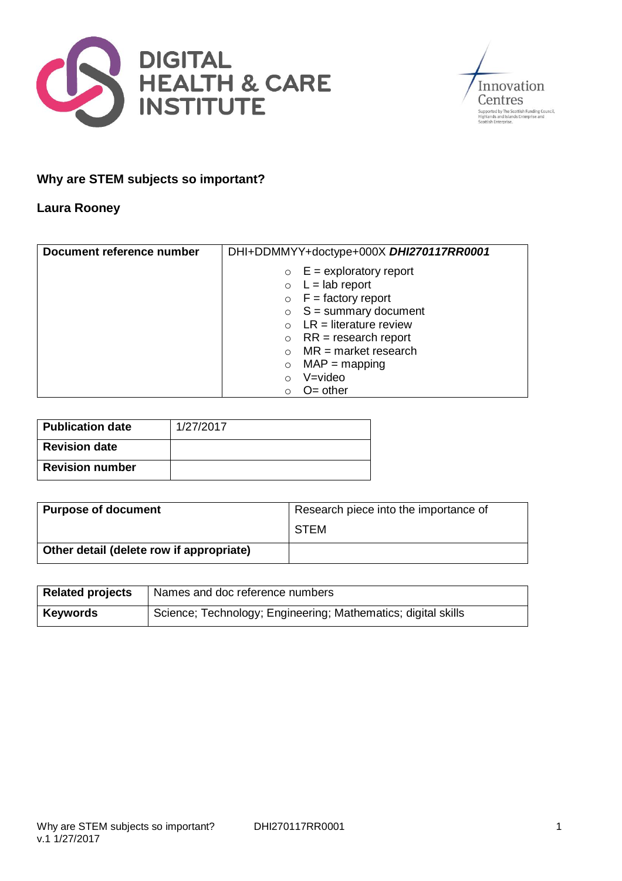



## **Why are STEM subjects so important?**

## **Laura Rooney**

| Document reference number | DHI+DDMMYY+doctype+000X DHI270117RR0001 |
|---------------------------|-----------------------------------------|
|                           | $E =$ exploratory report<br>$\circ$     |
|                           | $\circ$ L = lab report                  |
|                           | $\circ$ F = factory report              |
|                           | $\circ$ S = summary document            |
|                           | $LR =$ literature review                |
|                           | $RR = research report$<br>$\circ$       |
|                           | $MR = market research$                  |
|                           | $MAP = mapping$<br>$\circ$              |
|                           | V=video<br>$\Omega$                     |
|                           | $O=$ other<br>∩                         |

| <b>Publication date</b> | 1/27/2017 |
|-------------------------|-----------|
| <b>Revision date</b>    |           |
| <b>Revision number</b>  |           |

| <b>Purpose of document</b>               | Research piece into the importance of |
|------------------------------------------|---------------------------------------|
|                                          | <b>STEM</b>                           |
| Other detail (delete row if appropriate) |                                       |

| <b>Related projects</b> | Names and doc reference numbers                               |
|-------------------------|---------------------------------------------------------------|
| <b>Keywords</b>         | Science; Technology; Engineering; Mathematics; digital skills |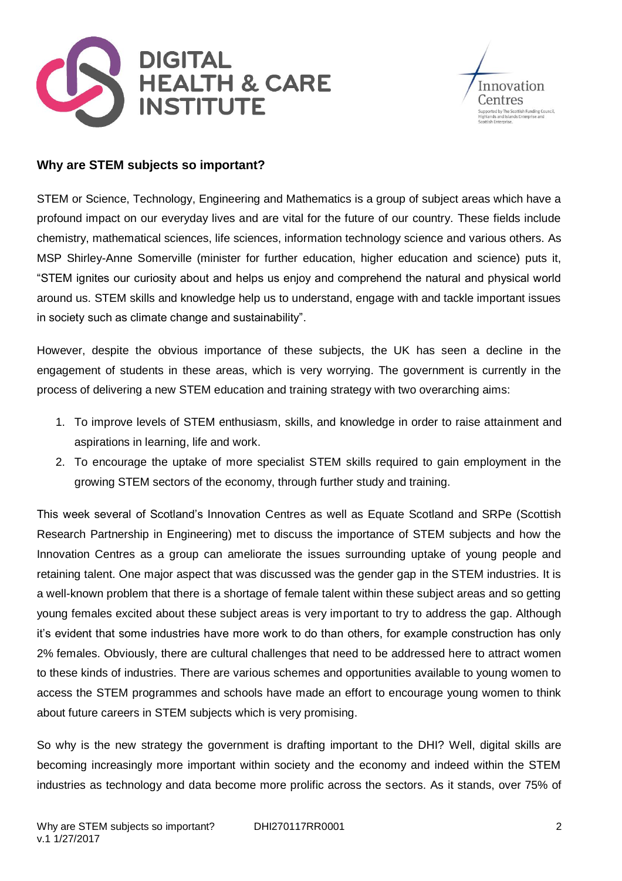



## **Why are STEM subjects so important?**

STEM or Science, Technology, Engineering and Mathematics is a group of subject areas which have a profound impact on our everyday lives and are vital for the future of our country. These fields include chemistry, mathematical sciences, life sciences, information technology science and various others. As MSP Shirley-Anne Somerville (minister for further education, higher education and science) puts it, "STEM ignites our curiosity about and helps us enjoy and comprehend the natural and physical world around us. STEM skills and knowledge help us to understand, engage with and tackle important issues in society such as climate change and sustainability".

However, despite the obvious importance of these subjects, the UK has seen a decline in the engagement of students in these areas, which is very worrying. The government is currently in the process of delivering a new STEM education and training strategy with two overarching aims:

- 1. To improve levels of STEM enthusiasm, skills, and knowledge in order to raise attainment and aspirations in learning, life and work.
- 2. To encourage the uptake of more specialist STEM skills required to gain employment in the growing STEM sectors of the economy, through further study and training.

This week several of Scotland's Innovation Centres as well as Equate Scotland and SRPe (Scottish Research Partnership in Engineering) met to discuss the importance of STEM subjects and how the Innovation Centres as a group can ameliorate the issues surrounding uptake of young people and retaining talent. One major aspect that was discussed was the gender gap in the STEM industries. It is a well-known problem that there is a shortage of female talent within these subject areas and so getting young females excited about these subject areas is very important to try to address the gap. Although it's evident that some industries have more work to do than others, for example construction has only 2% females. Obviously, there are cultural challenges that need to be addressed here to attract women to these kinds of industries. There are various schemes and opportunities available to young women to access the STEM programmes and schools have made an effort to encourage young women to think about future careers in STEM subjects which is very promising.

So why is the new strategy the government is drafting important to the DHI? Well, digital skills are becoming increasingly more important within society and the economy and indeed within the STEM industries as technology and data become more prolific across the sectors. As it stands, over 75% of